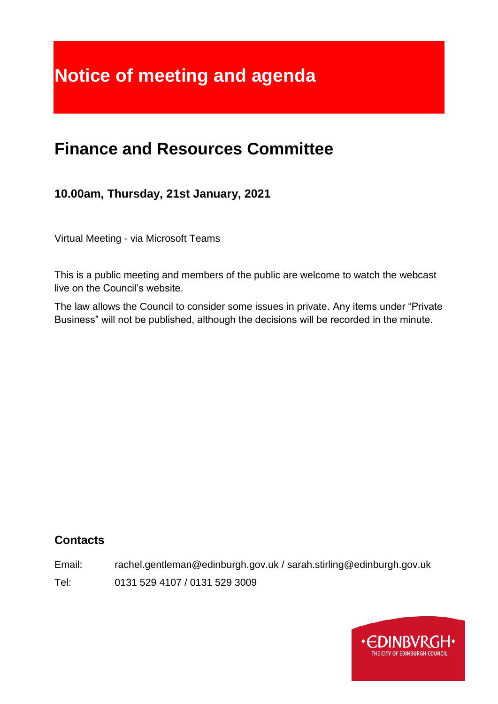# **Notice of meeting and agenda**

# **Finance and Resources Committee**

**10.00am, Thursday, 21st January, 2021**

Virtual Meeting - via Microsoft Teams

This is a public meeting and members of the public are welcome to watch the webcast live on the Council's website.

The law allows the Council to consider some issues in private. Any items under "Private Business" will not be published, although the decisions will be recorded in the minute.

# **Contacts**

Email: rachel.gentleman@edinburgh.gov.uk / sarah.stirling@edinburgh.gov.uk

Tel: 0131 529 4107 / 0131 529 3009

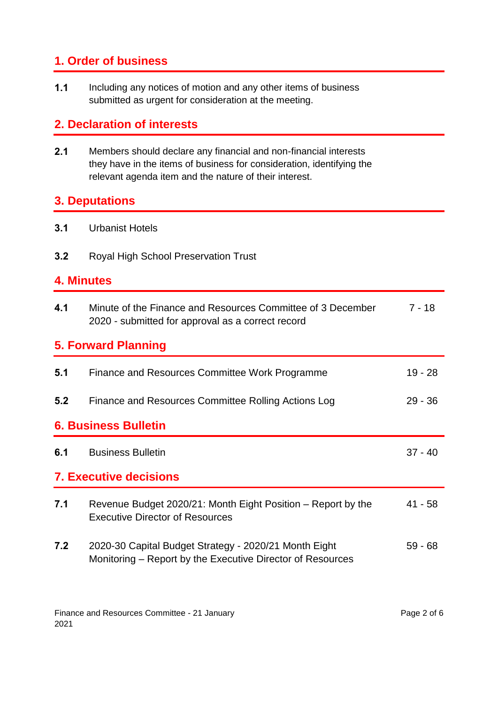# **1. Order of business**

**1.1** Including any notices of motion and any other items of business submitted as urgent for consideration at the meeting.

# **2. Declaration of interests**

**2.1** Members should declare any financial and non-financial interests they have in the items of business for consideration, identifying the relevant agenda item and the nature of their interest.

#### **3. Deputations**

- **3.1** Urbanist Hotels
- **3.2** Royal High School Preservation Trust

#### **4. Minutes**

| 4.1                           | Minute of the Finance and Resources Committee of 3 December<br>2020 - submitted for approval as a correct record    | $7 - 18$  |  |
|-------------------------------|---------------------------------------------------------------------------------------------------------------------|-----------|--|
| <b>5. Forward Planning</b>    |                                                                                                                     |           |  |
| 5.1                           | Finance and Resources Committee Work Programme                                                                      | $19 - 28$ |  |
| 5.2                           | Finance and Resources Committee Rolling Actions Log                                                                 | $29 - 36$ |  |
| <b>6. Business Bulletin</b>   |                                                                                                                     |           |  |
| 6.1                           | <b>Business Bulletin</b>                                                                                            | $37 - 40$ |  |
| <b>7. Executive decisions</b> |                                                                                                                     |           |  |
| 7.1                           | Revenue Budget 2020/21: Month Eight Position – Report by the<br><b>Executive Director of Resources</b>              | $41 - 58$ |  |
| 7.2                           | 2020-30 Capital Budget Strategy - 2020/21 Month Eight<br>Monitoring – Report by the Executive Director of Resources | $59 - 68$ |  |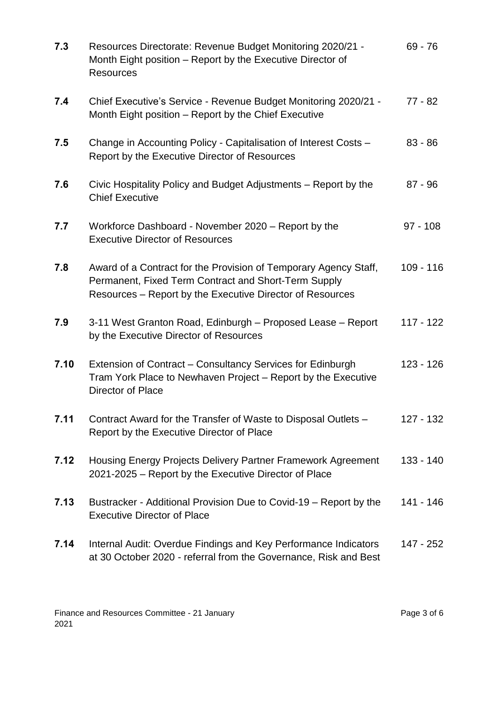| 7.3  | Resources Directorate: Revenue Budget Monitoring 2020/21 -<br>Month Eight position - Report by the Executive Director of<br><b>Resources</b>                                          | $69 - 76$   |
|------|---------------------------------------------------------------------------------------------------------------------------------------------------------------------------------------|-------------|
| 7.4  | Chief Executive's Service - Revenue Budget Monitoring 2020/21 -<br>Month Eight position – Report by the Chief Executive                                                               | $77 - 82$   |
| 7.5  | Change in Accounting Policy - Capitalisation of Interest Costs -<br>Report by the Executive Director of Resources                                                                     | $83 - 86$   |
| 7.6  | Civic Hospitality Policy and Budget Adjustments – Report by the<br><b>Chief Executive</b>                                                                                             | $87 - 96$   |
| 7.7  | Workforce Dashboard - November 2020 – Report by the<br><b>Executive Director of Resources</b>                                                                                         | $97 - 108$  |
| 7.8  | Award of a Contract for the Provision of Temporary Agency Staff,<br>Permanent, Fixed Term Contract and Short-Term Supply<br>Resources – Report by the Executive Director of Resources | $109 - 116$ |
| 7.9  | 3-11 West Granton Road, Edinburgh - Proposed Lease - Report<br>by the Executive Director of Resources                                                                                 | 117 - 122   |
| 7.10 | Extension of Contract – Consultancy Services for Edinburgh<br>Tram York Place to Newhaven Project - Report by the Executive<br>Director of Place                                      | 123 - 126   |
| 7.11 | Contract Award for the Transfer of Waste to Disposal Outlets -<br>Report by the Executive Director of Place                                                                           | 127 - 132   |
| 7.12 | Housing Energy Projects Delivery Partner Framework Agreement<br>2021-2025 – Report by the Executive Director of Place                                                                 | 133 - 140   |
| 7.13 | Bustracker - Additional Provision Due to Covid-19 – Report by the<br><b>Executive Director of Place</b>                                                                               | 141 - 146   |
| 7.14 | Internal Audit: Overdue Findings and Key Performance Indicators<br>at 30 October 2020 - referral from the Governance, Risk and Best                                                   | 147 - 252   |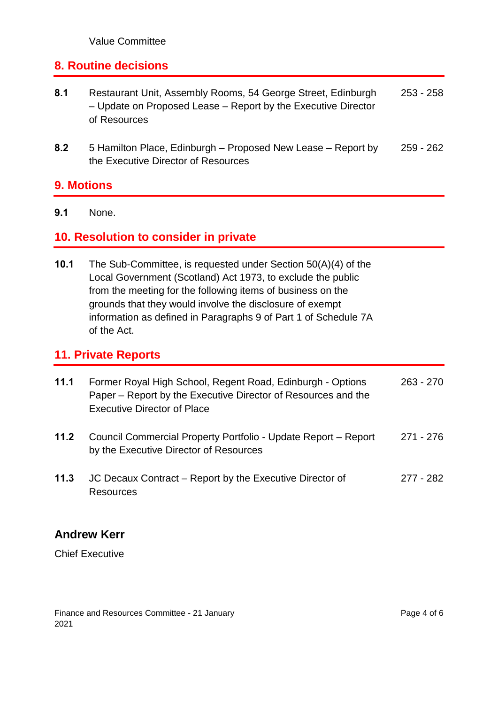# **8. Routine decisions**

- **8.1** Restaurant Unit, Assembly Rooms, 54 George Street, Edinburgh – Update on Proposed Lease – Report by the Executive Director of Resources 253 - 258
- **8.2** 5 Hamilton Place, Edinburgh Proposed New Lease Report by the Executive Director of Resources 259 - 262

#### **9. Motions**

**9.1** None.

# **10. Resolution to consider in private**

**10.1** The Sub-Committee, is requested under Section 50(A)(4) of the Local Government (Scotland) Act 1973, to exclude the public from the meeting for the following items of business on the grounds that they would involve the disclosure of exempt information as defined in Paragraphs 9 of Part 1 of Schedule 7A of the Act.

#### **11. Private Reports**

| 11.1 | Former Royal High School, Regent Road, Edinburgh - Options<br>Paper – Report by the Executive Director of Resources and the<br><b>Executive Director of Place</b> | $263 - 270$ |
|------|-------------------------------------------------------------------------------------------------------------------------------------------------------------------|-------------|
| 11.2 | Council Commercial Property Portfolio - Update Report - Report<br>by the Executive Director of Resources                                                          | 271 - 276   |
| 11.3 | JC Decaux Contract – Report by the Executive Director of<br><b>Resources</b>                                                                                      | 277 - 282   |

# **Andrew Kerr**

Chief Executive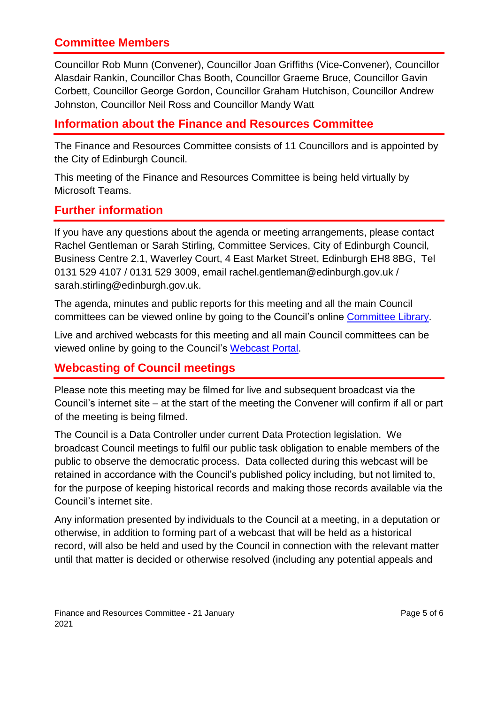# **Committee Members**

Councillor Rob Munn (Convener), Councillor Joan Griffiths (Vice-Convener), Councillor Alasdair Rankin, Councillor Chas Booth, Councillor Graeme Bruce, Councillor Gavin Corbett, Councillor George Gordon, Councillor Graham Hutchison, Councillor Andrew Johnston, Councillor Neil Ross and Councillor Mandy Watt

# **Information about the Finance and Resources Committee**

The Finance and Resources Committee consists of 11 Councillors and is appointed by the City of Edinburgh Council.

This meeting of the Finance and Resources Committee is being held virtually by Microsoft Teams.

# **Further information**

If you have any questions about the agenda or meeting arrangements, please contact Rachel Gentleman or Sarah Stirling, Committee Services, City of Edinburgh Council, Business Centre 2.1, Waverley Court, 4 East Market Street, Edinburgh EH8 8BG, Tel 0131 529 4107 / 0131 529 3009, email rachel.gentleman@edinburgh.gov.uk / sarah.stirling@edinburgh.gov.uk.

The agenda, minutes and public reports for this meeting and all the main Council committees can be viewed online by going to the Council's online [Committee Library.](https://democracy.edinburgh.gov.uk/ieDocHome.aspx?bcr=1)

Live and archived webcasts for this meeting and all main Council committees can be viewed online by going to the Council's [Webcast Portal.](https://edinburgh.public-i.tv/core/portal/home)

# **Webcasting of Council meetings**

Please note this meeting may be filmed for live and subsequent broadcast via the Council's internet site – at the start of the meeting the Convener will confirm if all or part of the meeting is being filmed.

The Council is a Data Controller under current Data Protection legislation. We broadcast Council meetings to fulfil our public task obligation to enable members of the public to observe the democratic process. Data collected during this webcast will be retained in accordance with the Council's published policy including, but not limited to, for the purpose of keeping historical records and making those records available via the Council's internet site.

Any information presented by individuals to the Council at a meeting, in a deputation or otherwise, in addition to forming part of a webcast that will be held as a historical record, will also be held and used by the Council in connection with the relevant matter until that matter is decided or otherwise resolved (including any potential appeals and